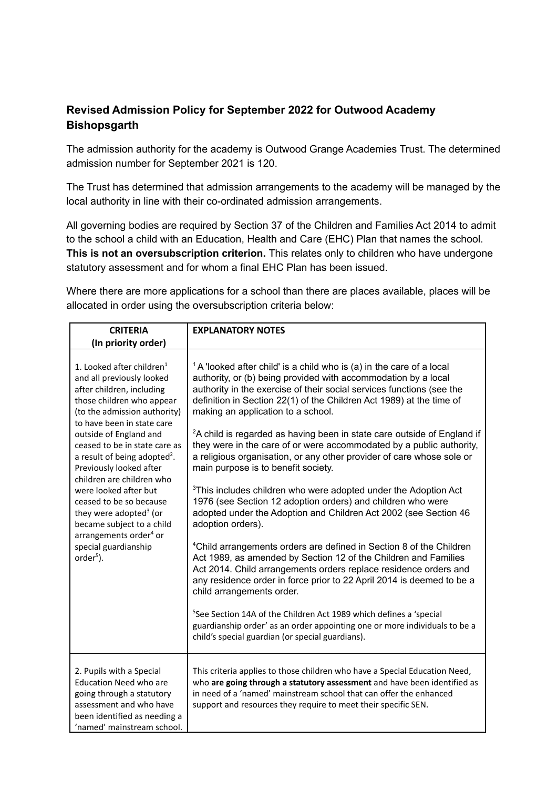## **Revised Admission Policy for September 2022 for Outwood Academy Bishopsgarth**

The admission authority for the academy is Outwood Grange Academies Trust. The determined admission number for September 2021 is 120.

The Trust has determined that admission arrangements to the academy will be managed by the local authority in line with their co-ordinated admission arrangements.

All governing bodies are required by Section 37 of the Children and Families Act 2014 to admit to the school a child with an Education, Health and Care (EHC) Plan that names the school. **This is not an oversubscription criterion.** This relates only to children who have undergone statutory assessment and for whom a final EHC Plan has been issued.

Where there are more applications for a school than there are places available, places will be allocated in order using the oversubscription criteria below:

| <b>CRITERIA</b>                                                                                                                                                                                                                                                                                                                                                                                                                                                                                                                                      | <b>EXPLANATORY NOTES</b>                                                                                                                                                                                                                                                                                                                                                                                                                                                                                                                                                                                                                                                                                                                                                                                                                                                                                                                                                                                                                                                                                                                                                                                                                                                                                                                                                                                 |
|------------------------------------------------------------------------------------------------------------------------------------------------------------------------------------------------------------------------------------------------------------------------------------------------------------------------------------------------------------------------------------------------------------------------------------------------------------------------------------------------------------------------------------------------------|----------------------------------------------------------------------------------------------------------------------------------------------------------------------------------------------------------------------------------------------------------------------------------------------------------------------------------------------------------------------------------------------------------------------------------------------------------------------------------------------------------------------------------------------------------------------------------------------------------------------------------------------------------------------------------------------------------------------------------------------------------------------------------------------------------------------------------------------------------------------------------------------------------------------------------------------------------------------------------------------------------------------------------------------------------------------------------------------------------------------------------------------------------------------------------------------------------------------------------------------------------------------------------------------------------------------------------------------------------------------------------------------------------|
| (In priority order)                                                                                                                                                                                                                                                                                                                                                                                                                                                                                                                                  |                                                                                                                                                                                                                                                                                                                                                                                                                                                                                                                                                                                                                                                                                                                                                                                                                                                                                                                                                                                                                                                                                                                                                                                                                                                                                                                                                                                                          |
| 1. Looked after children $1$<br>and all previously looked<br>after children, including<br>those children who appear<br>(to the admission authority)<br>to have been in state care<br>outside of England and<br>ceased to be in state care as<br>a result of being adopted <sup>2</sup> .<br>Previously looked after<br>children are children who<br>were looked after but<br>ceased to be so because<br>they were adopted <sup>3</sup> (or<br>became subject to a child<br>arrangements order <sup>4</sup> or<br>special guardianship<br>$order5$ ). | $1A$ looked after child' is a child who is (a) in the care of a local<br>authority, or (b) being provided with accommodation by a local<br>authority in the exercise of their social services functions (see the<br>definition in Section 22(1) of the Children Act 1989) at the time of<br>making an application to a school.<br><sup>2</sup> A child is regarded as having been in state care outside of England if<br>they were in the care of or were accommodated by a public authority,<br>a religious organisation, or any other provider of care whose sole or<br>main purpose is to benefit society.<br><sup>3</sup> This includes children who were adopted under the Adoption Act<br>1976 (see Section 12 adoption orders) and children who were<br>adopted under the Adoption and Children Act 2002 (see Section 46<br>adoption orders).<br><sup>4</sup> Child arrangements orders are defined in Section 8 of the Children<br>Act 1989, as amended by Section 12 of the Children and Families<br>Act 2014. Child arrangements orders replace residence orders and<br>any residence order in force prior to 22 April 2014 is deemed to be a<br>child arrangements order.<br><sup>5</sup> See Section 14A of the Children Act 1989 which defines a 'special<br>guardianship order' as an order appointing one or more individuals to be a<br>child's special guardian (or special guardians). |
| 2. Pupils with a Special<br>Education Need who are<br>going through a statutory<br>assessment and who have<br>been identified as needing a<br>'named' mainstream school.                                                                                                                                                                                                                                                                                                                                                                             | This criteria applies to those children who have a Special Education Need,<br>who are going through a statutory assessment and have been identified as<br>in need of a 'named' mainstream school that can offer the enhanced<br>support and resources they require to meet their specific SEN.                                                                                                                                                                                                                                                                                                                                                                                                                                                                                                                                                                                                                                                                                                                                                                                                                                                                                                                                                                                                                                                                                                           |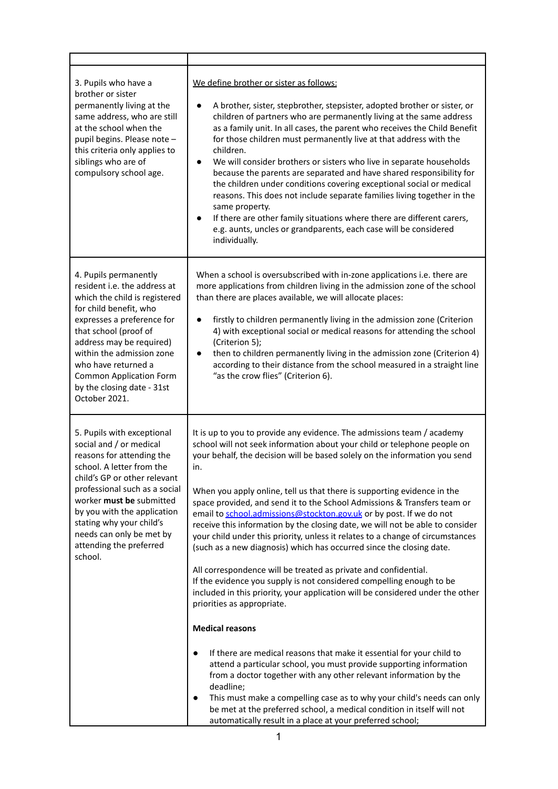| 3. Pupils who have a<br>brother or sister<br>permanently living at the<br>same address, who are still<br>at the school when the<br>pupil begins. Please note -<br>this criteria only applies to<br>siblings who are of<br>compulsory school age.                                                                                          | We define brother or sister as follows:<br>A brother, sister, stepbrother, stepsister, adopted brother or sister, or<br>children of partners who are permanently living at the same address<br>as a family unit. In all cases, the parent who receives the Child Benefit<br>for those children must permanently live at that address with the<br>children.<br>We will consider brothers or sisters who live in separate households<br>$\bullet$<br>because the parents are separated and have shared responsibility for<br>the children under conditions covering exceptional social or medical<br>reasons. This does not include separate families living together in the<br>same property.<br>If there are other family situations where there are different carers,<br>e.g. aunts, uncles or grandparents, each case will be considered<br>individually.                                                                                                                                                                                                                                                                                                                                                                             |
|-------------------------------------------------------------------------------------------------------------------------------------------------------------------------------------------------------------------------------------------------------------------------------------------------------------------------------------------|-----------------------------------------------------------------------------------------------------------------------------------------------------------------------------------------------------------------------------------------------------------------------------------------------------------------------------------------------------------------------------------------------------------------------------------------------------------------------------------------------------------------------------------------------------------------------------------------------------------------------------------------------------------------------------------------------------------------------------------------------------------------------------------------------------------------------------------------------------------------------------------------------------------------------------------------------------------------------------------------------------------------------------------------------------------------------------------------------------------------------------------------------------------------------------------------------------------------------------------------|
| 4. Pupils permanently<br>resident i.e. the address at<br>which the child is registered<br>for child benefit, who<br>expresses a preference for<br>that school (proof of<br>address may be required)<br>within the admission zone<br>who have returned a<br><b>Common Application Form</b><br>by the closing date - 31st<br>October 2021.  | When a school is oversubscribed with in-zone applications i.e. there are<br>more applications from children living in the admission zone of the school<br>than there are places available, we will allocate places:<br>firstly to children permanently living in the admission zone (Criterion<br>$\bullet$<br>4) with exceptional social or medical reasons for attending the school<br>(Criterion 5);<br>then to children permanently living in the admission zone (Criterion 4)<br>$\bullet$<br>according to their distance from the school measured in a straight line<br>"as the crow flies" (Criterion 6).                                                                                                                                                                                                                                                                                                                                                                                                                                                                                                                                                                                                                        |
| 5. Pupils with exceptional<br>social and / or medical<br>reasons for attending the<br>school. A letter from the<br>child's GP or other relevant<br>professional such as a social<br>worker must be submitted<br>by you with the application<br>stating why your child's<br>needs can only be met by<br>attending the preferred<br>school. | It is up to you to provide any evidence. The admissions team / academy<br>school will not seek information about your child or telephone people on<br>your behalf, the decision will be based solely on the information you send<br>in.<br>When you apply online, tell us that there is supporting evidence in the<br>space provided, and send it to the School Admissions & Transfers team or<br>email to school.admissions@stockton.gov.uk or by post. If we do not<br>receive this information by the closing date, we will not be able to consider<br>your child under this priority, unless it relates to a change of circumstances<br>(such as a new diagnosis) which has occurred since the closing date.<br>All correspondence will be treated as private and confidential.<br>If the evidence you supply is not considered compelling enough to be<br>included in this priority, your application will be considered under the other<br>priorities as appropriate.<br><b>Medical reasons</b><br>If there are medical reasons that make it essential for your child to<br>$\bullet$<br>attend a particular school, you must provide supporting information<br>from a doctor together with any other relevant information by the |
|                                                                                                                                                                                                                                                                                                                                           | deadline;<br>This must make a compelling case as to why your child's needs can only<br>$\bullet$<br>be met at the preferred school, a medical condition in itself will not<br>automatically result in a place at your preferred school;                                                                                                                                                                                                                                                                                                                                                                                                                                                                                                                                                                                                                                                                                                                                                                                                                                                                                                                                                                                                 |